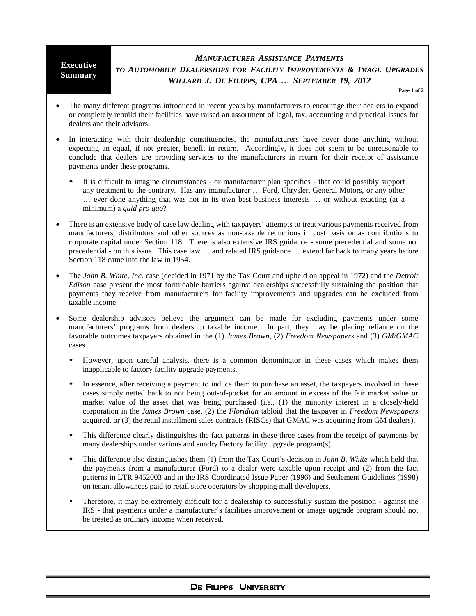## **Executive Summary** *MANUFACTURER ASSISTANCE PAYMENTS TO AUTOMOBILE DEALERSHIPS FOR FACILITY IMPROVEMENTS & IMAGE UPGRADES WILLARD J. DE FILIPPS, CPA … SEPTEMBER 19, 2012*

**Page 1 of 2**

- The many different programs introduced in recent years by manufacturers to encourage their dealers to expand or completely rebuild their facilities have raised an assortment of legal, tax, accounting and practical issues for dealers and their advisors.
- In interacting with their dealership constituencies, the manufacturers have never done anything without expecting an equal, if not greater, benefit in return. Accordingly, it does not seem to be unreasonable to conclude that dealers are providing services to the manufacturers in return for their receipt of assistance payments under these programs.
	- It is difficult to imagine circumstances or manufacturer plan specifics that could possibly support any treatment to the contrary. Has any manufacturer … Ford, Chrysler, General Motors, or any other … ever done anything that was not in its own best business interests … or without exacting (at a minimum) a *quid pro quo*?
- There is an extensive body of case law dealing with taxpayers' attempts to treat various payments received from manufacturers, distributors and other sources as non-taxable reductions in cost basis or as contributions to corporate capital under Section 118. There is also extensive IRS guidance - some precedential and some not precedential - on this issue. This case law … and related IRS guidance … extend far back to many years before Section 118 came into the law in 1954.
- The *John B. White, Inc.* case (decided in 1971 by the Tax Court and upheld on appeal in 1972) and the *Detroit Edison* case present the most formidable barriers against dealerships successfully sustaining the position that payments they receive from manufacturers for facility improvements and upgrades can be excluded from taxable income.
- Some dealership advisors believe the argument can be made for excluding payments under some manufacturers' programs from dealership taxable income. In part, they may be placing reliance on the favorable outcomes taxpayers obtained in the (1) *James Brown*, (2) *Freedom Newspapers* and (3) *GM/GMAC* cases.
	- However, upon careful analysis, there is a common denominator in these cases which makes them inapplicable to factory facility upgrade payments.
	- In essence, after receiving a payment to induce them to purchase an asset, the taxpayers involved in these cases simply netted back to not being out-of-pocket for an amount in excess of the fair market value or market value of the asset that was being purchased (i.e., (1) the minority interest in a closely-held corporation in the *James Brown* case, (2) the *Floridian* tabloid that the taxpayer in *Freedom Newspapers* acquired, or (3) the retail installment sales contracts (RISCs) that GMAC was acquiring from GM dealers).
	- This difference clearly distinguishes the fact patterns in these three cases from the receipt of payments by many dealerships under various and sundry Factory facility upgrade program(s).
	- This difference also distinguishes them (1) from the Tax Court's decision in *John B. White* which held that the payments from a manufacturer (Ford) to a dealer were taxable upon receipt and (2) from the fact patterns in LTR 9452003 and in the IRS Coordinated Issue Paper (1996) and Settlement Guidelines (1998) on tenant allowances paid to retail store operators by shopping mall developers.
	- Therefore, it may be extremely difficult for a dealership to successfully sustain the position against the IRS - that payments under a manufacturer's facilities improvement or image upgrade program should not be treated as ordinary income when received.